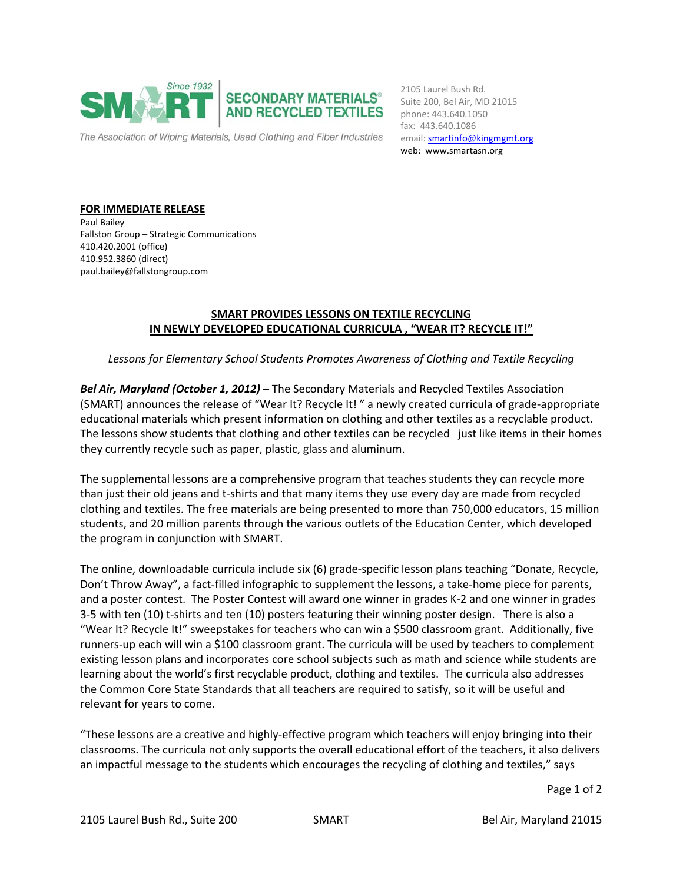

email: **smartinfo@kingmgmt.org** 2105 Laurel Bush Rd. Suite 200, Bel Air, MD 21015 phone: 443.640.1050 fax: 443.640.1086 web: www.smartasn.org

**FOR IMMEDIATE RELEASE** Paul Bailey Fallston Group – Strategic Communications 410.420.2001 (office) 410.952.3860 (direct) paul.bailey@fallstongroup.com

## **SMART PROVIDES LESSONS ON TEXTILE RECYCLING IN NEWLY DEVELOPED EDUCATIONAL CURRICULA , "WEAR IT? RECYCLE IT!"**

*Lessons for Elementary School Students Promotes Awareness of Clothing and Textile Recycling* 

*Bel Air, Maryland (October 1, 2012)* – The Secondary Materials and Recycled Textiles Association (SMART) announces the release of "Wear It? Recycle It! " a newly created curricula of grade‐appropriate educational materials which present information on clothing and other textiles as a recyclable product. The lessons show students that clothing and other textiles can be recycled just like items in their homes they currently recycle such as paper, plastic, glass and aluminum.

The supplemental lessons are a comprehensive program that teaches students they can recycle more than just their old jeans and t‐shirts and that many items they use every day are made from recycled clothing and textiles. The free materials are being presented to more than 750,000 educators, 15 million students, and 20 million parents through the various outlets of the Education Center, which developed the program in conjunction with SMART.

The online, downloadable curricula include six (6) grade‐specific lesson plans teaching "Donate, Recycle, Don't Throw Away", a fact-filled infographic to supplement the lessons, a take-home piece for parents, and a poster contest. The Poster Contest will award one winner in grades K‐2 and one winner in grades 3‐5 with ten (10) t‐shirts and ten (10) posters featuring their winning poster design. There is also a "Wear It? Recycle It!" sweepstakes for teachers who can win a \$500 classroom grant. Additionally, five runners‐up each will win a \$100 classroom grant. The curricula will be used by teachers to complement existing lesson plans and incorporates core school subjects such as math and science while students are learning about the world's first recyclable product, clothing and textiles. The curricula also addresses the Common Core State Standards that all teachers are required to satisfy, so it will be useful and relevant for years to come.

"These lessons are a creative and highly‐effective program which teachers will enjoy bringing into their classrooms. The curricula not only supports the overall educational effort of the teachers, it also delivers an impactful message to the students which encourages the recycling of clothing and textiles," says

Page 1 of 2